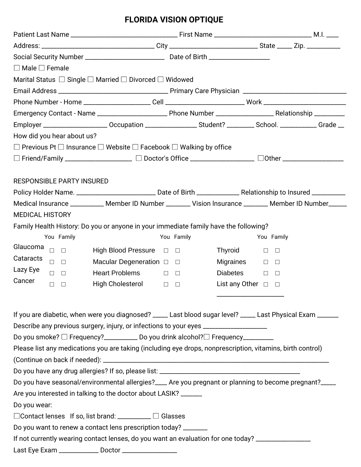| $\Box$ Male $\Box$ Female                                                                                                                                        |                                          |                            |  |
|------------------------------------------------------------------------------------------------------------------------------------------------------------------|------------------------------------------|----------------------------|--|
| Marital Status $\Box$ Single $\Box$ Married $\Box$ Divorced $\Box$ Widowed                                                                                       |                                          |                            |  |
|                                                                                                                                                                  |                                          |                            |  |
|                                                                                                                                                                  |                                          |                            |  |
|                                                                                                                                                                  |                                          |                            |  |
| Employer _______________________Occupation ___________________Student? __________ School. ______________Grade __                                                 |                                          |                            |  |
| How did you hear about us?                                                                                                                                       |                                          |                            |  |
| $\Box$ Previous Pt $\Box$ Insurance $\Box$ Website $\Box$ Facebook $\Box$ Walking by office                                                                      |                                          |                            |  |
| □ Friend/Family ____________________ □ Doctor's Office ________________ □ Other ___________________                                                              |                                          |                            |  |
| <b>RESPONSIBLE PARTY INSURED</b><br>Policy Holder Name. ________________________________ Date of Birth ____________________Relationship to Insured _____________ |                                          |                            |  |
| Medical Insurance ___________ Member ID Number _______ Vision Insurance _______ Member ID Number _____                                                           |                                          |                            |  |
| <b>MEDICAL HISTORY</b>                                                                                                                                           |                                          |                            |  |
| Family Health History: Do you or anyone in your immediate family have the following?                                                                             |                                          |                            |  |
| You Family                                                                                                                                                       | You Family                               | You Family                 |  |
| Glaucoma<br>$\Box$ $\Box$                                                                                                                                        | High Blood Pressure $\Box$ $\Box$        | Thyroid<br>$\Box$          |  |
| Cataracts<br>$\begin{array}{ccc} \square & \square \end{array}$                                                                                                  | Macular Degeneration $\square$ $\square$ | Migraines<br>$\Box$ $\Box$ |  |
| Lazy Eye<br><b>Heart Problems</b><br>$\Box$ $\Box$                                                                                                               | $\Box$                                   | $Diabetes$ $\Box$          |  |
| Cancer<br>$\Box$<br>$\overline{\phantom{a}}$                                                                                                                     | High Cholesterol $\Box$                  | List any Other $\Box$      |  |
|                                                                                                                                                                  |                                          |                            |  |
| If you are diabetic, when were you diagnosed? ____ Last blood sugar level? ____ Last Physical Exam _____                                                         |                                          |                            |  |
| Describe any previous surgery, injury, or infections to your eyes _______________                                                                                |                                          |                            |  |
| Do you smoke? □ Frequency?_________ Do you drink alcohol?□ Frequency_________                                                                                    |                                          |                            |  |
| Please list any medications you are taking (including eye drops, nonprescription, vitamins, birth control)                                                       |                                          |                            |  |
|                                                                                                                                                                  |                                          |                            |  |
|                                                                                                                                                                  |                                          |                            |  |
| Do you have seasonal/environmental allergies?___ Are you pregnant or planning to become pregnant?___                                                             |                                          |                            |  |
| Are you interested in talking to the doctor about LASIK? ______                                                                                                  |                                          |                            |  |
| Do you wear:                                                                                                                                                     |                                          |                            |  |
| □ Contact lenses If so, list brand: _________ □ Glasses                                                                                                          |                                          |                            |  |
| Do you want to renew a contact lens prescription today? _______                                                                                                  |                                          |                            |  |
| If not currently wearing contact lenses, do you want an evaluation for one today? _________________                                                              |                                          |                            |  |
|                                                                                                                                                                  |                                          |                            |  |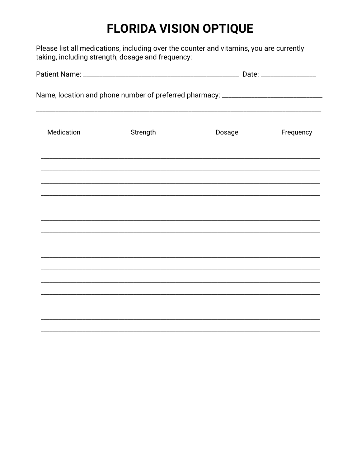Please list all medications, including over the counter and vitamins, you are currently taking, including strength, dosage and frequency:

| Name, location and phone number of preferred pharmacy: _________________________ |          |        |           |  |  |
|----------------------------------------------------------------------------------|----------|--------|-----------|--|--|
| Medication                                                                       | Strength | Dosage | Frequency |  |  |
|                                                                                  |          |        |           |  |  |
|                                                                                  |          |        |           |  |  |
|                                                                                  |          |        |           |  |  |
|                                                                                  |          |        |           |  |  |
|                                                                                  |          |        |           |  |  |
|                                                                                  |          |        |           |  |  |
|                                                                                  |          |        |           |  |  |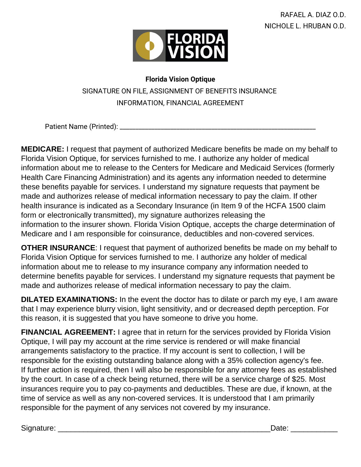

## **Florida Vision Optique** SIGNATURE ON FILE, ASSIGNMENT OF BENEFITS INSURANCE INFORMATION, FINANCIAL AGREEMENT

Patient Name (Printed): \_\_\_\_\_\_\_\_\_\_\_\_\_\_\_\_\_\_\_\_\_\_\_\_\_\_\_\_\_\_\_\_\_\_\_\_\_\_\_\_\_\_\_\_\_\_\_\_\_\_\_\_\_\_\_\_\_\_\_\_\_\_

**MEDICARE:** I request that payment of authorized Medicare benefits be made on my behalf to Florida Vision Optique, for services furnished to me. I authorize any holder of medical information about me to release to the Centers for Medicare and Medicaid Services (formerly Health Care Financing Administration) and its agents any information needed to determine these benefits payable for services. I understand my signature requests that payment be made and authorizes release of medical information necessary to pay the claim. If other health insurance is indicated as a Secondary Insurance (in Item 9 of the HCFA 1500 claim form or electronically transmitted), my signature authorizes releasing the information to the insurer shown. Florida Vision Optique, accepts the charge determination of Medicare and I am responsible for coinsurance, deductibles and non-covered services.

**OTHER INSURANCE**: I request that payment of authorized benefits be made on my behalf to Florida Vision Optique for services furnished to me. I authorize any holder of medical information about me to release to my insurance company any information needed to determine benefits payable for services. I understand my signature requests that payment be made and authorizes release of medical information necessary to pay the claim.

**DILATED EXAMINATIONS:** In the event the doctor has to dilate or parch my eye, I am aware that I may experience blurry vision, light sensitivity, and or decreased depth perception. For this reason, it is suggested that you have someone to drive you home.

**FINANCIAL AGREEMENT:** I agree that in return for the services provided by Florida Vision Optique, I will pay my account at the rime service is rendered or will make financial arrangements satisfactory to the practice. If my account is sent to collection, I will be responsible for the existing outstanding balance along with a 35% collection agency's fee. If further action is required, then I will also be responsible for any attorney fees as established by the court. In case of a check being returned, there will be a service charge of \$25. Most insurances require you to pay co-payments and deductibles. These are due, if known, at the time of service as well as any non-covered services. It is understood that I am primarily responsible for the payment of any services not covered by my insurance.

Signature: \_\_\_\_\_\_\_\_\_\_\_\_\_\_\_\_\_\_\_\_\_\_\_\_\_\_\_\_\_\_\_\_\_\_\_\_\_\_\_\_\_\_\_\_\_\_\_\_\_\_Date: \_\_\_\_\_\_\_\_\_\_\_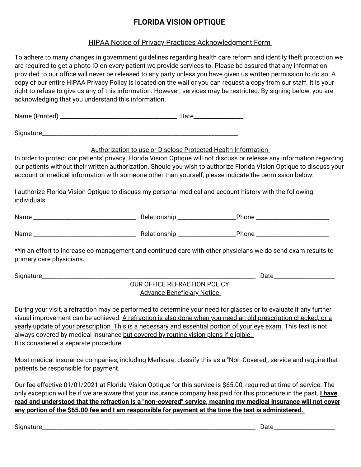#### HIPAA Notice of Privacy Practices Acknowledgment Form

To adhere to many changes in government guidelines regarding health care reform and identity theft protection we are required to get a photo ID on every patient we provide services to. Please be assured that any information provided to our office will never be released to any party unless you have given us written permission to do so. A copy of our entire HIPAA Privacy Policy is located on the wall or you can request a copy from our staff. It is your right to refuse to give us any of this information. However, services may be restricted. By signing below, you are acknowledging that you understand this information. Name (Printed) \_\_\_\_\_\_\_\_\_\_\_\_\_\_\_\_\_\_\_\_\_\_\_\_\_\_\_\_\_\_\_\_\_\_\_\_\_\_\_\_ Date\_\_\_\_\_\_\_\_\_\_\_\_\_\_\_\_\_ Signature\_\_\_\_\_\_\_\_\_\_\_\_\_\_\_\_\_\_\_\_\_\_\_\_\_\_\_\_\_\_\_\_\_\_\_\_\_\_\_\_\_\_\_\_\_\_\_\_\_\_\_\_\_\_\_\_\_\_\_\_\_\_\_\_\_\_\_ Authorization to use or Disclose Protected Health Information In order to protect our patients' privacy, Florida Vision Optique will not discuss or release any information regarding our patients without their written authorization. Should you wish to authorize Florida Vision Optique to discuss your account or medical information with someone other than yourself, please indicate the permission below. I authorize Florida Vision Optigue to discuss my personal medical and account history with the following individuals: Name \_\_\_\_\_\_\_\_\_\_\_\_\_\_\_\_\_\_\_\_\_\_\_\_\_\_\_\_\_\_\_\_\_\_\_ Relationship \_\_\_\_\_\_\_\_\_\_\_\_\_\_\_\_\_\_\_\_Phone \_\_\_\_\_\_\_\_\_\_\_\_\_\_\_\_\_\_\_\_\_\_\_\_\_ Name \_\_\_\_\_\_\_\_\_\_\_\_\_\_\_\_\_\_\_\_\_\_\_\_\_\_\_\_\_\_\_\_\_\_\_ Relationship \_\_\_\_\_\_\_\_\_\_\_\_\_\_\_\_\_\_\_\_Phone \_\_\_\_\_\_\_\_\_\_\_\_\_\_\_\_\_\_\_\_\_\_\_\_\_ \*\*In an effort to increase co-management and continued care with other physicians we do send exam results to primary care physicians. Signature\_\_\_\_\_\_\_\_\_\_\_\_\_\_\_\_\_\_\_\_\_\_\_\_\_\_\_\_\_\_\_\_\_\_\_\_\_\_\_\_\_\_\_\_\_\_\_\_\_\_\_\_\_\_\_\_\_\_\_\_\_\_\_\_\_\_\_\_\_\_\_\_\_ Date\_\_\_\_\_\_\_\_\_\_\_\_\_\_\_\_\_\_\_\_\_ OUR OFFICE REFRACTION POLICY Advance Beneficiary Notice During your visit, a refraction may be performed to determine your need for glasses or to evaluate if any further visual improvement can be achieved. A refraction is also done when you need an old prescription checked, or a yearly update of your prescription This is a necessary and essential portion of your eye exam. This test is not always covered by medical insurance but covered by routine vision plans if eligible. It is considered a separate procedure. Most medical insurance companies, including Medicare, classify this as a "Non-Covered,, service and require that patients be responsible for payment.

Our fee effective 01/01/2021 at Florida Vision Optique for this service is \$65.00, required at time of service. The only exception will be if we are aware that your insurance company has paid for this procedure in the past. **I have** read and understood that the refraction is a "non-covered" service, meaning my medical insurance will not cover any portion of the \$65.00 fee and I am responsible for payment at the time the test is administered.

Signature\_\_\_\_\_\_\_\_\_\_\_\_\_\_\_\_\_\_\_\_\_\_\_\_\_\_\_\_\_\_\_\_\_\_\_\_\_\_\_\_\_\_\_\_\_\_\_\_\_\_\_\_\_\_\_\_\_\_\_\_\_\_\_\_\_\_\_\_\_\_\_\_\_ Date\_\_\_\_\_\_\_\_\_\_\_\_\_\_\_\_\_\_\_\_\_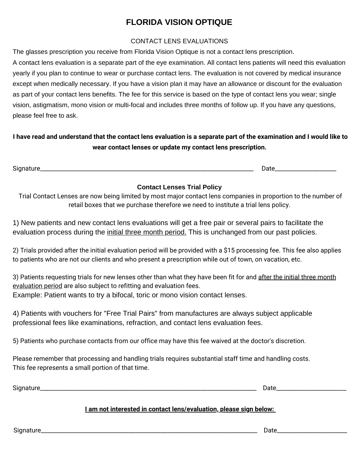#### CONTACT LENS EVALUATIONS

The glasses prescription you receive from Florida Vision Optique is not a contact lens prescription.

A contact lens evaluation is a separate part of the eye examination. All contact lens patients will need this evaluation yearly if you plan to continue to wear or purchase contact lens. The evaluation is not covered by medical insurance except when medically necessary. If you have a vision plan it may have an allowance or discount for the evaluation as part of your contact lens benefits. The fee for this service is based on the type of contact lens you wear; single vision, astigmatism, mono vision or multi-focal and includes three months of follow up. If you have any questions, please feel free to ask.

### I have read and understand that the contact lens evaluation is a separate part of the examination and I would like to **wear contact lenses or update my contact lens prescription.**

Signature\_\_\_\_\_\_\_\_\_\_\_\_\_\_\_\_\_\_\_\_\_\_\_\_\_\_\_\_\_\_\_\_\_\_\_\_\_\_\_\_\_\_\_\_\_\_\_\_\_\_\_\_\_\_\_\_\_\_\_\_\_\_\_\_\_\_\_\_\_\_\_\_\_ Date\_\_\_\_\_\_\_\_\_\_\_\_\_\_\_\_\_\_\_\_\_

#### **Contact Lenses Trial Policy**

Trial Contact Lenses are now being limited by most major contact lens companies in proportion to the number of retail boxes that we purchase therefore we need to institute a trial lens policy.

1) New patients and new contact lens evaluations will get a free pair or several pairs to facilitate the evaluation process during the initial three month period. This is unchanged from our past policies.

2) Trials provided after the initial evaluation period will be provided with a \$15 processing fee. This fee also applies to patients who are not our clients and who present a prescription while out of town, on vacation, etc.

3) Patients requesting trials for new lenses other than what they have been fit for and after the initial three month evaluation period are also subject to refitting and evaluation fees. Example: Patient wants to try a bifocal, toric or mono vision contact lenses.

4) Patients with vouchers for "Free Trial Pairs" from manufactures are always subject applicable professional fees like examinations, refraction, and contact lens evaluation fees.

5) Patients who purchase contacts from our office may have this fee waived at the doctor's discretion.

Please remember that processing and handling trials requires substantial staff time and handling costs. This fee represents a small portion of that time.

| $\sim$<br>יי |  |
|--------------|--|
|              |  |

#### **I am not interested in contact lens/evaluation, please sign below:**

Signature\_\_\_\_\_\_\_\_\_\_\_\_\_\_\_\_\_\_\_\_\_\_\_\_\_\_\_\_\_\_\_\_\_\_\_\_\_\_\_\_\_\_\_\_\_\_\_\_\_\_\_\_\_\_\_\_\_\_\_\_\_\_\_\_\_\_\_\_\_\_\_\_\_\_ Date\_\_\_\_\_\_\_\_\_\_\_\_\_\_\_\_\_\_\_\_\_\_\_\_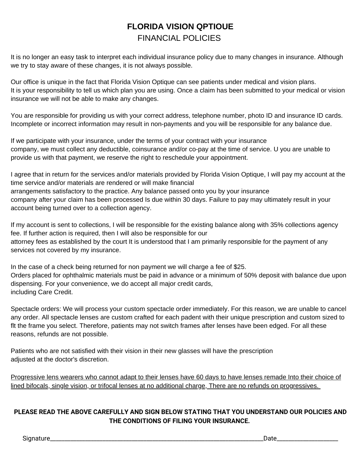# **FLORIDA VISION QPTIOUE** FINANCIAL POLICIES

It is no longer an easy task to interpret each individual insurance policy due to many changes in insurance. Although we try to stay aware of these changes, it is not always possible.

Our office is unique in the fact that Florida Vision Optique can see patients under medical and vision plans. It is your responsibility to tell us which plan you are using. Once a claim has been submitted to your medical or vision insurance we will not be able to make any changes.

You are responsible for providing us with your correct address, telephone number, photo ID and insurance ID cards. Incomplete or incorrect information may result in non-payments and you will be responsible for any balance due.

If we participate with your insurance, under the terms of your contract with your insurance company, we must collect any deductible, coinsurance and/or co-pay at the time of service. U you are unable to provide us with that payment, we reserve the right to reschedule your appointment.

I agree that in return for the services and/or materials provided by Florida Vision Optique, I will pay my account at the time service and/or materials are rendered or will make financial arrangements satisfactory to the practice. Any balance passed onto you by your insurance company after your claim has been processed Is due within 30 days. Failure to pay may ultimately result in your account being turned over to a collection agency.

If my account is sent to collections, I will be responsible for the existing balance along with 35% collections agency fee. If further action is required, then I will also be responsible for our attorney fees as established by the court It is understood that I am primarily responsible for the payment of any services not covered by my insurance.

In the case of a check being returned for non payment we will charge a fee of \$25. Orders placed for ophthalmic materials must be paid in advance or a minimum of 50% deposit with balance due upon dispensing. For your convenience, we do accept all major credit cards, including Care Credit.

Spectacle orders: We will process your custom spectacle order immediately. For this reason, we are unable to cancel any order. All spectacle lenses are custom crafted for each padent with their unique prescription and custom sized to flt the frame you select. Therefore, patients may not switch frames after lenses have been edged. For all these reasons, refunds are not possible.

Patients who are not satisfied with their vision in their new glasses will have the prescription adjusted at the doctor's discretion.

Progressive lens wearers who cannot adapt to their lenses have 60 days to have lenses remade Into their choice of lined bifocals, single vision, or trifocal lenses at no additional charge, There are no refunds on progressives.

#### **PLEASE READ THE ABOVE CAREFULLY AND SIGN BELOW STATING THAT YOU UNDERSTAND OUR POLICIES AND THE CONDITIONS OF FILING YOUR INSURANCE.**

Signature\_\_\_\_\_\_\_\_\_\_\_\_\_\_\_\_\_\_\_\_\_\_\_\_\_\_\_\_\_\_\_\_\_\_\_\_\_\_\_\_\_\_\_\_\_\_\_\_\_\_\_\_\_\_\_\_\_\_\_\_\_\_\_\_\_\_\_\_\_\_\_\_\_Date\_\_\_\_\_\_\_\_\_\_\_\_\_\_\_\_\_\_\_\_\_